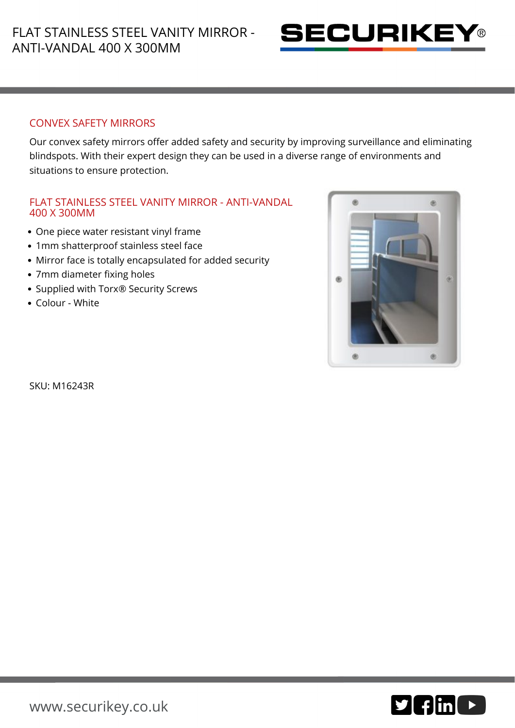

## CONVEX SAFETY MIRRORS

Our convex safety mirrors offer added safety and security by improving surveillance and eliminating blindspots. With their expert design they can be used in a diverse range of environments and situations to ensure protection.

## FLAT STAINLESS STEEL VANITY MIRROR - ANTI-VANDAL 400 X 300MM

- One piece water resistant vinyl frame
- 1mm shatterproof stainless steel face
- Mirror face is totally encapsulated for added security
- 7mm diameter fixing holes
- Supplied with Torx<sup>®</sup> Security Screws
- Colour White



SKU: M16243R

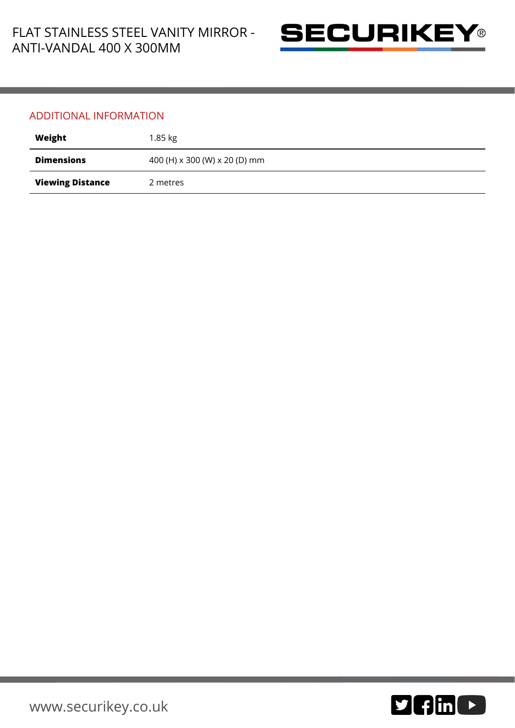

## ADDITIONAL INFORMATION

| Weight                  | 1.85 kg                       |
|-------------------------|-------------------------------|
| <b>Dimensions</b>       | 400 (H) x 300 (W) x 20 (D) mm |
| <b>Viewing Distance</b> | 2 metres                      |

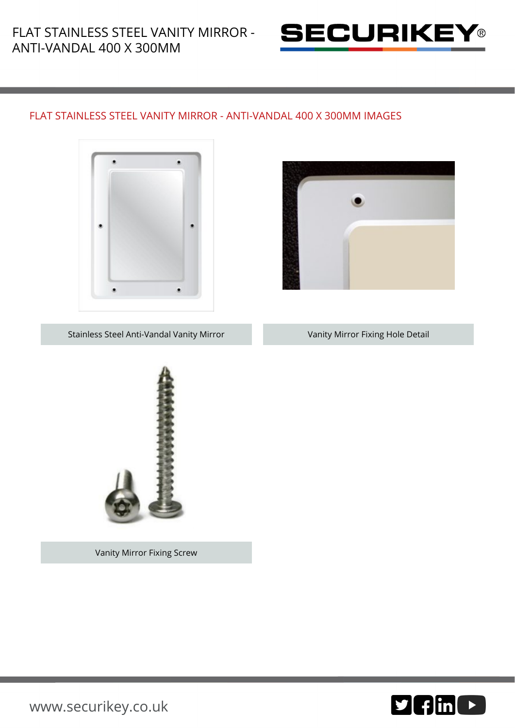

## FLAT STAINLESS STEEL VANITY MIRROR - ANTI-VANDAL 400 X 300MM IMAGES





Stainless Steel Anti-Vandal Vanity Mirror **Vanity Mirror Fixing Hole Detail** 



Vanity Mirror Fixing Screw



[www.securikey.co.uk](http://www.securikey.co.uk/)